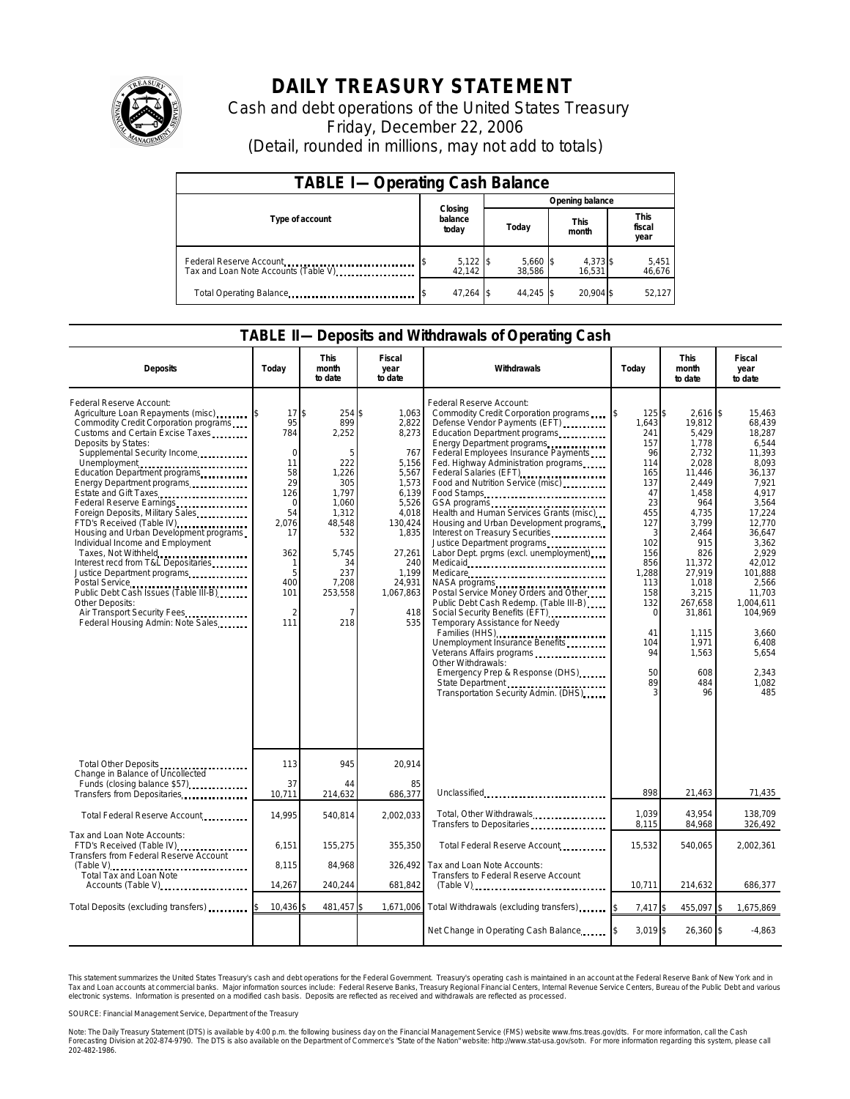

## **DAILY TREASURY STATEMENT**

Cash and debt operations of the United States Treasury Friday, December 22, 2006 (Detail, rounded in millions, may not add to totals)

| <b>TABLE I-Operating Cash Balance</b>                           |                             |                      |                      |                               |  |  |  |
|-----------------------------------------------------------------|-----------------------------|----------------------|----------------------|-------------------------------|--|--|--|
|                                                                 |                             | Opening balance      |                      |                               |  |  |  |
| Type of account                                                 | Closing<br>balance<br>today | Today                | <b>This</b><br>month | <b>This</b><br>fiscal<br>year |  |  |  |
| Federal Reserve Account<br>Tax and Loan Note Accounts (Table V) | $5,122$ \$<br>42,142        | $5,660$ \$<br>38,586 | 4,373 \$<br>16,531   | 5,451<br>46,676               |  |  |  |
| Total Operating Balance                                         | $47.264$ \\$                | 44.245 \$            | 20.904 \$            | 52,127                        |  |  |  |

## **TABLE II—Deposits and Withdrawals of Operating Cash**

| <b>Deposits</b>                                                                                                                                                                                                                                                                                                                                                                                                                                                                                                                                                                                                                                                                                                    | Today                                                                                                                                            | This<br>month<br>to date                                                                                                                                   | Fiscal<br>year<br>to date                                                                                                                                               | Withdrawals                                                                                                                                                                                                                                                                                                                                                                                                                                                                                                                                                                                                                                                                                                                                                                                                                                                                                                                   | Today                                                                                                                                                                                 | <b>This</b><br>month<br>to date                                                                                                                                                                                                                | Fiscal<br>year<br>to date                                                                                                                                                                                                                                       |
|--------------------------------------------------------------------------------------------------------------------------------------------------------------------------------------------------------------------------------------------------------------------------------------------------------------------------------------------------------------------------------------------------------------------------------------------------------------------------------------------------------------------------------------------------------------------------------------------------------------------------------------------------------------------------------------------------------------------|--------------------------------------------------------------------------------------------------------------------------------------------------|------------------------------------------------------------------------------------------------------------------------------------------------------------|-------------------------------------------------------------------------------------------------------------------------------------------------------------------------|-------------------------------------------------------------------------------------------------------------------------------------------------------------------------------------------------------------------------------------------------------------------------------------------------------------------------------------------------------------------------------------------------------------------------------------------------------------------------------------------------------------------------------------------------------------------------------------------------------------------------------------------------------------------------------------------------------------------------------------------------------------------------------------------------------------------------------------------------------------------------------------------------------------------------------|---------------------------------------------------------------------------------------------------------------------------------------------------------------------------------------|------------------------------------------------------------------------------------------------------------------------------------------------------------------------------------------------------------------------------------------------|-----------------------------------------------------------------------------------------------------------------------------------------------------------------------------------------------------------------------------------------------------------------|
| Federal Reserve Account:<br>Agriculture Loan Repayments (misc)<br>Commodity Credit Corporation programs<br>Customs and Certain Excise Taxes<br>Deposits by States:<br>Supplemental Security Income<br>Unemployment<br>Education Department programs<br>Energy Department programs<br>Estate and Gift Taxes<br>Federal Reserve Earnings<br>Foreign Deposits, Military Sales<br>FTD's Received (Table IV)<br>Housing and Urban Development programs<br>Individual Income and Employment<br>Taxes, Not Withheld<br>Interest recd from T&L Depositaries<br>Justice Department programs<br>Public Debt Cash Issues (Table III-B)<br>Other Deposits:<br>Air Transport Security Fees<br>Federal Housing Admin: Note Sales | 17<br>95<br>784<br>$\mathbf 0$<br>11<br>58<br>29<br>126<br>$\Omega$<br>54<br>2,076<br>17<br>362<br>1<br>5<br>400<br>101<br>$\mathfrak{D}$<br>111 | \$<br>254 \$<br>899<br>2,252<br>5<br>222<br>1,226<br>305<br>1.797<br>1.060<br>1,312<br>48,548<br>532<br>5,745<br>34<br>237<br>7,208<br>253,558<br>7<br>218 | 1.063<br>2,822<br>8,273<br>767<br>5,156<br>5,567<br>1,573<br>6,139<br>5,526<br>4,018<br>130,424<br>1,835<br>27,261<br>240<br>1.199<br>24,931<br>1,067,863<br>418<br>535 | Federal Reserve Account:<br>Commodity Credit Corporation programs<br>Defense Vendor Payments (EFT)<br>Education Department programs<br>Energy Department programs<br>Federal Employees Insurance Payments<br>Fed. Highway Administration programs<br>Federal Salaries (EFT)<br>Federal Salaries (EFT)<br>Food and Nutrition Service (misc)<br>Food Stamps<br>Health and Human Services Grants (misc)<br>Housing and Urban Development programs<br>Interest on Treasury Securities<br>Labor Dept. prgms (excl. unemployment)<br>Medicare<br>NASA programs<br>Postal Service Money Orders and Other<br>Public Debt Cash Redemp. (Table III-B)<br>Social Security Benefits (EFT) [1001]<br>Temporary Assistance for Needy<br>Families (HHS)<br>Unemployment Insurance Benefits<br>Veterans Affairs programs<br>Other Withdrawals:<br>Emergency Prep & Response (DHS)<br>State Department<br>Transportation Security Admin. (DHS) | 125 \$<br>1,643<br>241<br>157<br>96<br>114<br>165<br>137<br>47<br>23<br>455<br>127<br>3<br>102<br>156<br>856<br>1,288<br>113<br>158<br>132<br>$\Omega$<br>41<br>104<br>94<br>50<br>89 | $2,616$ \$<br>19,812<br>5,429<br>1,778<br>2,732<br>2,028<br>11,446<br>2,449<br>1,458<br>964<br>4,735<br>3,799<br>2,464<br>915<br>826<br>11,372<br>27,919<br>1,018<br>3,215<br>267,658<br>31,861<br>1,115<br>1.971<br>1,563<br>608<br>484<br>96 | 15,463<br>68.439<br>18,287<br>6,544<br>11,393<br>8.093<br>36,137<br>7,921<br>4.917<br>3,564<br>17,224<br>12,770<br>36,647<br>3,362<br>2,929<br>42,012<br>101.888<br>2,566<br>11.703<br>1,004,611<br>104,969<br>3,660<br>6,408<br>5.654<br>2.343<br>1,082<br>485 |
| Total Other Deposits<br>Change in Balance of Uncollected                                                                                                                                                                                                                                                                                                                                                                                                                                                                                                                                                                                                                                                           | 113                                                                                                                                              | 945                                                                                                                                                        | 20.914                                                                                                                                                                  |                                                                                                                                                                                                                                                                                                                                                                                                                                                                                                                                                                                                                                                                                                                                                                                                                                                                                                                               |                                                                                                                                                                                       |                                                                                                                                                                                                                                                |                                                                                                                                                                                                                                                                 |
| Funds (closing balance \$57)<br>Transfers from Depositaries                                                                                                                                                                                                                                                                                                                                                                                                                                                                                                                                                                                                                                                        | 37<br>10,711                                                                                                                                     | 44<br>214,632                                                                                                                                              | 85<br>686,377                                                                                                                                                           | Unclassified                                                                                                                                                                                                                                                                                                                                                                                                                                                                                                                                                                                                                                                                                                                                                                                                                                                                                                                  | 898                                                                                                                                                                                   | 21,463                                                                                                                                                                                                                                         | 71,435                                                                                                                                                                                                                                                          |
| Total Federal Reserve Account                                                                                                                                                                                                                                                                                                                                                                                                                                                                                                                                                                                                                                                                                      | 14,995                                                                                                                                           | 540,814                                                                                                                                                    | 2,002,033                                                                                                                                                               | Total, Other Withdrawals<br>Transfers to Depositaries                                                                                                                                                                                                                                                                                                                                                                                                                                                                                                                                                                                                                                                                                                                                                                                                                                                                         | 1,039<br>8,115                                                                                                                                                                        | 43,954<br>84,968                                                                                                                                                                                                                               | 138,709<br>326,492                                                                                                                                                                                                                                              |
| Tax and Loan Note Accounts:<br>FTD's Received (Table IV)<br>Transfers from Federal Reserve Account                                                                                                                                                                                                                                                                                                                                                                                                                                                                                                                                                                                                                 | 6,151                                                                                                                                            | 155,275                                                                                                                                                    | 355,350                                                                                                                                                                 | Total Federal Reserve Account                                                                                                                                                                                                                                                                                                                                                                                                                                                                                                                                                                                                                                                                                                                                                                                                                                                                                                 | 15,532                                                                                                                                                                                | 540,065                                                                                                                                                                                                                                        | 2,002,361                                                                                                                                                                                                                                                       |
| Total Tax and Loan Note<br>Accounts (Table V)                                                                                                                                                                                                                                                                                                                                                                                                                                                                                                                                                                                                                                                                      | 8,115<br>14,267                                                                                                                                  | 84,968<br>240.244                                                                                                                                          | 326,492<br>681,842                                                                                                                                                      | Tax and Loan Note Accounts:<br>Transfers to Federal Reserve Account<br>$(Table V)$                                                                                                                                                                                                                                                                                                                                                                                                                                                                                                                                                                                                                                                                                                                                                                                                                                            | 10.711                                                                                                                                                                                | 214,632                                                                                                                                                                                                                                        | 686,377                                                                                                                                                                                                                                                         |
| Total Deposits (excluding transfers)                                                                                                                                                                                                                                                                                                                                                                                                                                                                                                                                                                                                                                                                               | 10,436                                                                                                                                           | 481,457                                                                                                                                                    |                                                                                                                                                                         | 1,671,006 Total Withdrawals (excluding transfers)                                                                                                                                                                                                                                                                                                                                                                                                                                                                                                                                                                                                                                                                                                                                                                                                                                                                             | 7,417 \$                                                                                                                                                                              | 455,097 \$                                                                                                                                                                                                                                     | 1,675,869                                                                                                                                                                                                                                                       |
|                                                                                                                                                                                                                                                                                                                                                                                                                                                                                                                                                                                                                                                                                                                    |                                                                                                                                                  |                                                                                                                                                            |                                                                                                                                                                         | Net Change in Operating Cash Balance                                                                                                                                                                                                                                                                                                                                                                                                                                                                                                                                                                                                                                                                                                                                                                                                                                                                                          | $3.019$ \$                                                                                                                                                                            | 26,360 \$                                                                                                                                                                                                                                      | $-4,863$                                                                                                                                                                                                                                                        |

This statement summarizes the United States Treasury's cash and debt operations for the Federal Government. Treasury's operating cash is maintained<br>Tax and Loan accounts at commercial banks. Major information sources inclu narizes the United States Treasury's cash and debt operations for the Federal Government. Treasury's operating cash is maintained in an account at the Federal Reserve Bank of New York and in<br>ints at commercial banks. Major

SOURCE: Financial Management Service, Department of the Treasury

Note: The Daily Treasury Statement (DTS) is available by 4:00 p.m. the following business day on the Financial Management Service (FMS) website www.fms.treas.gov/dts. For more information, call the Cash<br>Forecasting Divisio 202-482-1986.